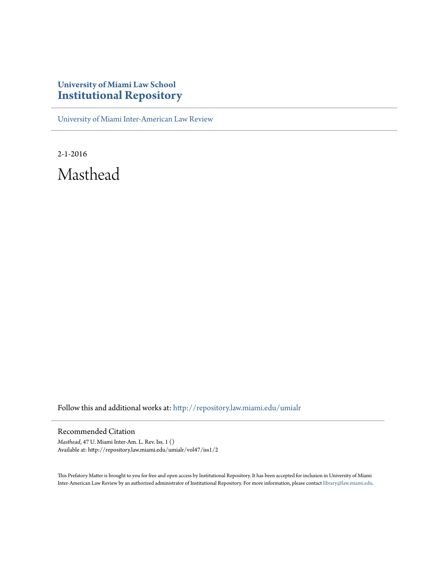## **University of Miami Law School [Institutional Repository](http://repository.law.miami.edu?utm_source=repository.law.miami.edu%2Fumialr%2Fvol47%2Fiss1%2F2&utm_medium=PDF&utm_campaign=PDFCoverPages)**

[University of Miami Inter-American Law Review](http://repository.law.miami.edu/umialr?utm_source=repository.law.miami.edu%2Fumialr%2Fvol47%2Fiss1%2F2&utm_medium=PDF&utm_campaign=PDFCoverPages)

2-1-2016 Masthead

Follow this and additional works at: [http://repository.law.miami.edu/umialr](http://repository.law.miami.edu/umialr?utm_source=repository.law.miami.edu%2Fumialr%2Fvol47%2Fiss1%2F2&utm_medium=PDF&utm_campaign=PDFCoverPages)

#### Recommended Citation

*Masthead*, 47 U. Miami Inter-Am. L. Rev. Iss. 1 () Available at: http://repository.law.miami.edu/umialr/vol47/iss1/2

This Prefatory Matter is brought to you for free and open access by Institutional Repository. It has been accepted for inclusion in University of Miami Inter-American Law Review by an authorized administrator of Institutional Repository. For more information, please contact [library@law.miami.edu](mailto:library@law.miami.edu).